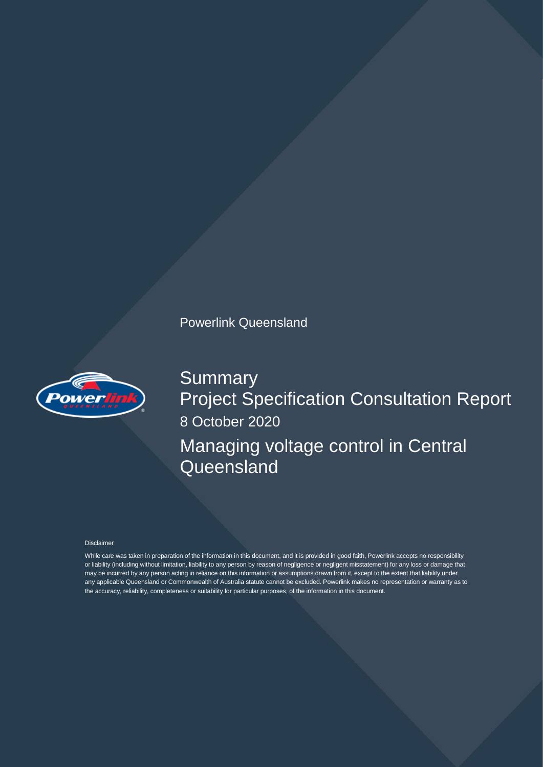# Powerlink Queensland



**Summary** Project Specification Consultation Report 8 October 2020 Managing voltage control in Central **Queensland** 

#### Disclaimer

While care was taken in preparation of the information in this document, and it is provided in good faith, Powerlink accepts no responsibility or liability (including without limitation, liability to any person by reason of negligence or negligent misstatement) for any loss or damage that may be incurred by any person acting in reliance on this information or assumptions drawn from it, except to the extent that liability under any applicable Queensland or Commonwealth of Australia statute cannot be excluded. Powerlink makes no representation or warranty as to the accuracy, reliability, completeness or suitability for particular purposes, of the information in this document.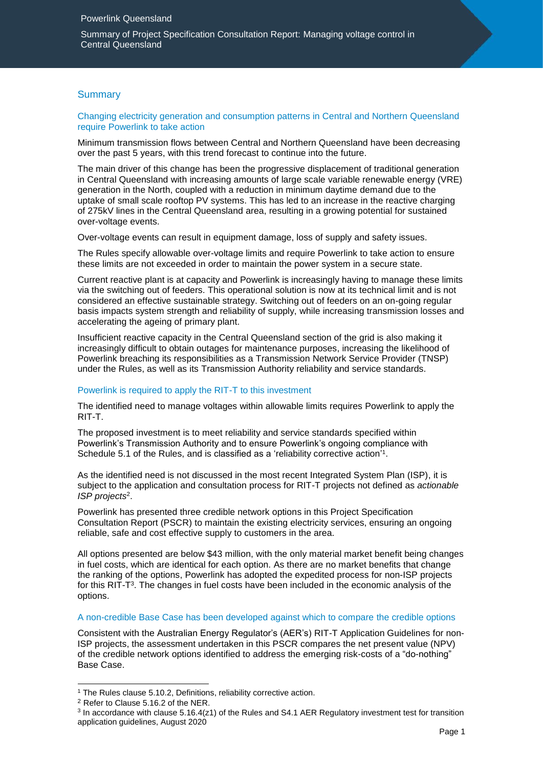Summary of Project Specification Consultation Report: Managing voltage control in Central Queensland

# **Summary**

Changing electricity generation and consumption patterns in Central and Northern Queensland require Powerlink to take action

Minimum transmission flows between Central and Northern Queensland have been decreasing over the past 5 years, with this trend forecast to continue into the future.

The main driver of this change has been the progressive displacement of traditional generation in Central Queensland with increasing amounts of large scale variable renewable energy (VRE) generation in the North, coupled with a reduction in minimum daytime demand due to the uptake of small scale rooftop PV systems. This has led to an increase in the reactive charging of 275kV lines in the Central Queensland area, resulting in a growing potential for sustained over-voltage events.

Over-voltage events can result in equipment damage, loss of supply and safety issues.

The Rules specify allowable over-voltage limits and require Powerlink to take action to ensure these limits are not exceeded in order to maintain the power system in a secure state.

Current reactive plant is at capacity and Powerlink is increasingly having to manage these limits via the switching out of feeders. This operational solution is now at its technical limit and is not considered an effective sustainable strategy. Switching out of feeders on an on-going regular basis impacts system strength and reliability of supply, while increasing transmission losses and accelerating the ageing of primary plant.

Insufficient reactive capacity in the Central Queensland section of the grid is also making it increasingly difficult to obtain outages for maintenance purposes, increasing the likelihood of Powerlink breaching its responsibilities as a Transmission Network Service Provider (TNSP) under the Rules, as well as its Transmission Authority reliability and service standards.

#### Powerlink is required to apply the RIT-T to this investment

The identified need to manage voltages within allowable limits requires Powerlink to apply the RIT-T.

The proposed investment is to meet reliability and service standards specified within Powerlink's Transmission Authority and to ensure Powerlink's ongoing compliance with Schedule 5.1 of the Rules, and is classified as a 'reliability corrective action'<sup>1</sup>.

As the identified need is not discussed in the most recent Integrated System Plan (ISP), it is subject to the application and consultation process for RIT-T projects not defined as *actionable ISP projects*<sup>2</sup> .

Powerlink has presented three credible network options in this Project Specification Consultation Report (PSCR) to maintain the existing electricity services, ensuring an ongoing reliable, safe and cost effective supply to customers in the area.

All options presented are below \$43 million, with the only material market benefit being changes in fuel costs, which are identical for each option. As there are no market benefits that change the ranking of the options, Powerlink has adopted the expedited process for non-ISP projects for this RIT-T<sup>3</sup>. The changes in fuel costs have been included in the economic analysis of the options.

## A non-credible Base Case has been developed against which to compare the credible options

Consistent with the Australian Energy Regulator's (AER's) RIT-T Application Guidelines for non-ISP projects, the assessment undertaken in this PSCR compares the net present value (NPV) of the credible network options identified to address the emerging risk-costs of a "do-nothing" Base Case.

-

<sup>&</sup>lt;sup>1</sup> The Rules clause 5.10.2, Definitions, reliability corrective action.

<sup>2</sup> Refer to Clause 5.16.2 of the NER.

 $3$  In accordance with clause 5.16.4(z1) of the Rules and S4.1 AER Regulatory investment test for transition application guidelines, August 2020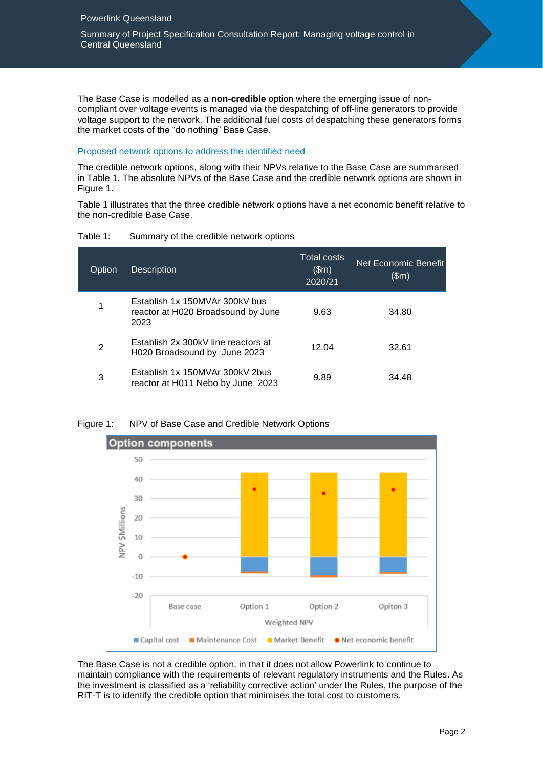The Base Case is modelled as a **non-credible** option where the emerging issue of noncompliant over voltage events is managed via the despatching of off-line generators to provide voltage support to the network. The additional fuel costs of despatching these generators forms the market costs of the "do nothing" Base Case.

# Proposed network options to address the identified need

The credible network options, along with their NPVs relative to the Base Case are summarised in Table 1. The absolute NPVs of the Base Case and the credible network options are shown in Figure 1.

Table 1 illustrates that the three credible network options have a net economic benefit relative to the non-credible Base Case.

| Table 1: |  | Summary of the credible network options |  |
|----------|--|-----------------------------------------|--|
|----------|--|-----------------------------------------|--|

| Option | <b>Description</b>                                                           | <b>Total costs</b><br>\$m\$<br>2020/21 | Net Economic Benefit<br>\$m\$ |
|--------|------------------------------------------------------------------------------|----------------------------------------|-------------------------------|
| 1      | Establish 1x 150MVAr 300kV bus<br>reactor at H020 Broadsound by June<br>2023 | 9.63                                   | 34.80                         |
| 2      | Establish 2x 300kV line reactors at<br>H020 Broadsound by June 2023          | 12.04                                  | 32.61                         |
| 3      | Establish 1x 150MVAr 300kV 2bus<br>reactor at H011 Nebo by June 2023         | 9.89                                   | 34.48                         |



Figure 1: NPV of Base Case and Credible Network Options

The Base Case is not a credible option, in that it does not allow Powerlink to continue to maintain compliance with the requirements of relevant regulatory instruments and the Rules. As the investment is classified as a 'reliability corrective action' under the Rules, the purpose of the RIT-T is to identify the credible option that minimises the total cost to customers.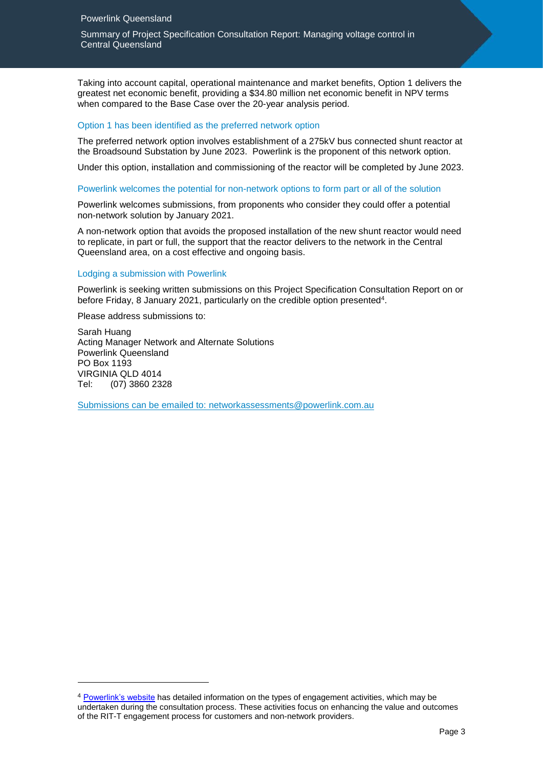Summary of Project Specification Consultation Report: Managing voltage control in Central Queensland

Taking into account capital, operational maintenance and market benefits, Option 1 delivers the greatest net economic benefit, providing a \$34.80 million net economic benefit in NPV terms when compared to the Base Case over the 20-year analysis period.

### Option 1 has been identified as the preferred network option

The preferred network option involves establishment of a 275kV bus connected shunt reactor at the Broadsound Substation by June 2023. Powerlink is the proponent of this network option.

Under this option, installation and commissioning of the reactor will be completed by June 2023.

#### Powerlink welcomes the potential for non-network options to form part or all of the solution

Powerlink welcomes submissions, from proponents who consider they could offer a potential non-network solution by January 2021.

A non-network option that avoids the proposed installation of the new shunt reactor would need to replicate, in part or full, the support that the reactor delivers to the network in the Central Queensland area, on a cost effective and ongoing basis.

#### Lodging a submission with Powerlink

Powerlink is seeking written submissions on this Project Specification Consultation Report on or before Friday, 8 January 2021, particularly on the credible option presented<sup>4</sup>.

Please address submissions to:

-

Sarah Huang Acting Manager Network and Alternate Solutions Powerlink Queensland PO Box 1193 VIRGINIA QLD 4014 Tel: (07) 3860 2328

Submissions can be emailed to: [networkassessments@powerlink.com.au](mailto:networkassessments@powerlink.com.au)

<sup>4</sup> [Powerlink's website](https://www.powerlink.com.au/rit-t-stakeholder-engagement-matrix) has detailed information on the types of engagement activities, which may be undertaken during the consultation process. These activities focus on enhancing the value and outcomes of the RIT-T engagement process for customers and non-network providers.